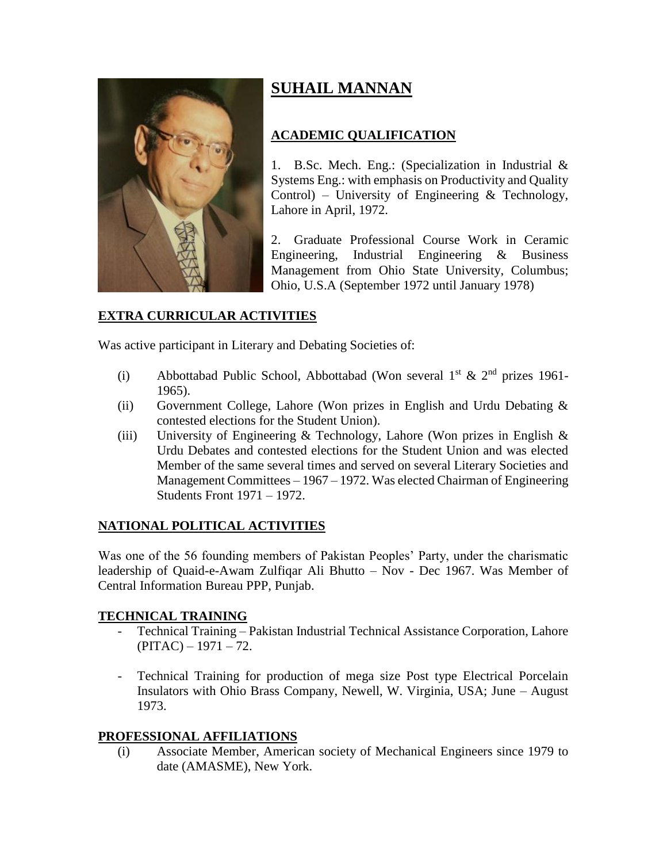

# **SUHAIL MANNAN**

# **ACADEMIC QUALIFICATION**

1. B.Sc. Mech. Eng.: (Specialization in Industrial & Systems Eng.: with emphasis on Productivity and Quality Control) – University of Engineering  $&$  Technology, Lahore in April, 1972.

2. Graduate Professional Course Work in Ceramic Engineering, Industrial Engineering & Business Management from Ohio State University, Columbus; Ohio, U.S.A (September 1972 until January 1978)

## **EXTRA CURRICULAR ACTIVITIES**

Was active participant in Literary and Debating Societies of:

- (i) Abbottabad Public School, Abbottabad (Won several  $1^{st} \& 2^{nd}$  prizes 1961-1965).
- (ii) Government College, Lahore (Won prizes in English and Urdu Debating & contested elections for the Student Union).
- (iii) University of Engineering & Technology, Lahore (Won prizes in English  $\&$ Urdu Debates and contested elections for the Student Union and was elected Member of the same several times and served on several Literary Societies and Management Committees – 1967 – 1972. Was elected Chairman of Engineering Students Front 1971 – 1972.

### **NATIONAL POLITICAL ACTIVITIES**

Was one of the 56 founding members of Pakistan Peoples' Party, under the charismatic leadership of Quaid-e-Awam Zulfiqar Ali Bhutto – Nov - Dec 1967. Was Member of Central Information Bureau PPP, Punjab.

### **TECHNICAL TRAINING**

- Technical Training Pakistan Industrial Technical Assistance Corporation, Lahore  $(PITAC) - 1971 - 72.$
- Technical Training for production of mega size Post type Electrical Porcelain Insulators with Ohio Brass Company, Newell, W. Virginia, USA; June – August 1973.

### **PROFESSIONAL AFFILIATIONS**

(i) Associate Member, American society of Mechanical Engineers since 1979 to date (AMASME), New York.